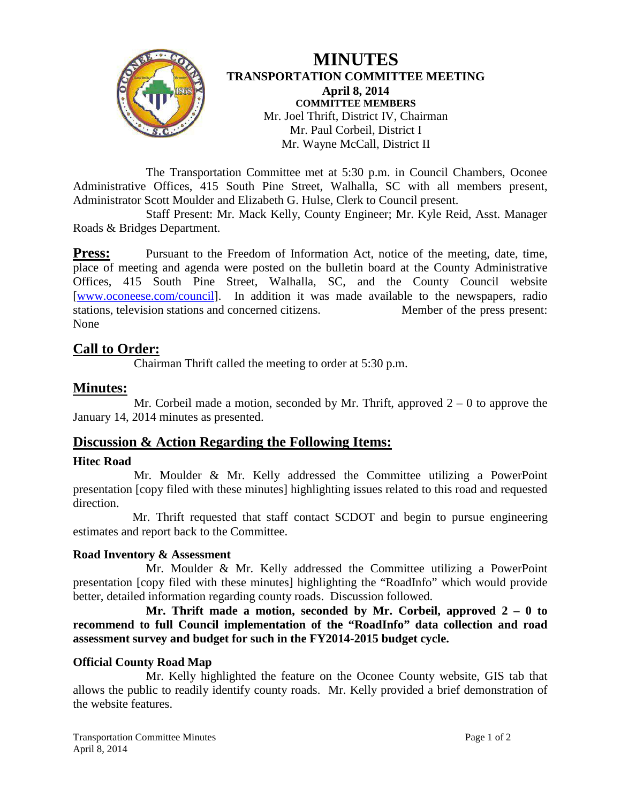

# **MINUTES TRANSPORTATION COMMITTEE MEETING April 8, 2014 COMMITTEE MEMBERS** Mr. Joel Thrift, District IV, Chairman Mr. Paul Corbeil, District I Mr. Wayne McCall, District II

The Transportation Committee met at 5:30 p.m. in Council Chambers, Oconee Administrative Offices, 415 South Pine Street, Walhalla, SC with all members present, Administrator Scott Moulder and Elizabeth G. Hulse, Clerk to Council present.

Staff Present: Mr. Mack Kelly, County Engineer; Mr. Kyle Reid, Asst. Manager Roads & Bridges Department.

**Press:** Pursuant to the Freedom of Information Act, notice of the meeting, date, time, place of meeting and agenda were posted on the bulletin board at the County Administrative Offices, 415 South Pine Street, Walhalla, SC, and the County Council website [\[www.oconeese.com/council\]](http://www.oconeese.com/council). In addition it was made available to the newspapers, radio stations, television stations and concerned citizens. Member of the press present: None

# **Call to Order:**

Chairman Thrift called the meeting to order at 5:30 p.m.

# **Minutes:**

Mr. Corbeil made a motion, seconded by Mr. Thrift, approved  $2 - 0$  to approve the January 14, 2014 minutes as presented.

# **Discussion & Action Regarding the Following Items:**

#### **Hitec Road**

Mr. Moulder & Mr. Kelly addressed the Committee utilizing a PowerPoint presentation [copy filed with these minutes] highlighting issues related to this road and requested direction.

Mr. Thrift requested that staff contact SCDOT and begin to pursue engineering estimates and report back to the Committee.

#### **Road Inventory & Assessment**

Mr. Moulder & Mr. Kelly addressed the Committee utilizing a PowerPoint presentation [copy filed with these minutes] highlighting the "RoadInfo" which would provide better, detailed information regarding county roads. Discussion followed.

**Mr. Thrift made a motion, seconded by Mr. Corbeil, approved 2 – 0 to recommend to full Council implementation of the "RoadInfo" data collection and road assessment survey and budget for such in the FY2014-2015 budget cycle.**

#### **Official County Road Map**

Mr. Kelly highlighted the feature on the Oconee County website, GIS tab that allows the public to readily identify county roads. Mr. Kelly provided a brief demonstration of the website features.